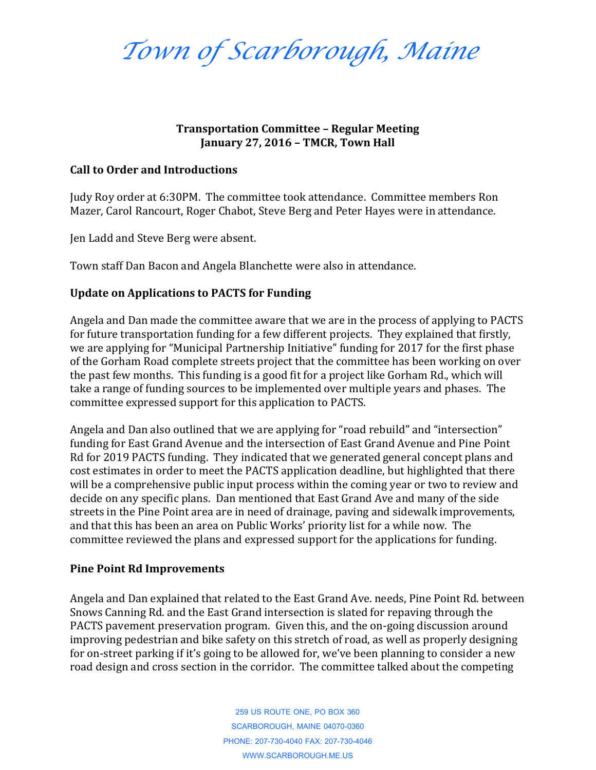*Town of Scarborough, Maine*

## **Transportation Committee – Regular Meeting January 27, 2016 – TMCR, Town Hall**

## **Call to Order and Introductions**

Judy Roy order at 6:30PM. The committee took attendance. Committee members Ron Mazer, Carol Rancourt, Roger Chabot, Steve Berg and Peter Hayes were in attendance.

Jen Ladd and Steve Berg were absent.

Town staff Dan Bacon and Angela Blanchette were also in attendance.

## **Update on Applications to PACTS for Funding**

Angela and Dan made the committee aware that we are in the process of applying to PACTS for future transportation funding for a few different projects. They explained that firstly, we are applying for "Municipal Partnership Initiative" funding for 2017 for the first phase of the Gorham Road complete streets project that the committee has been working on over the past few months. This funding is a good fit for a project like Gorham Rd., which will take a range of funding sources to be implemented over multiple years and phases. The committee expressed support for this application to PACTS.

Angela and Dan also outlined that we are applying for "road rebuild" and "intersection" funding for East Grand Avenue and the intersection of East Grand Avenue and Pine Point Rd for 2019 PACTS funding. They indicated that we generated general concept plans and cost estimates in order to meet the PACTS application deadline, but highlighted that there will be a comprehensive public input process within the coming year or two to review and decide on any specific plans. Dan mentioned that East Grand Ave and many of the side streets in the Pine Point area are in need of drainage, paving and sidewalk improvements, and that this has been an area on Public Works' priority list for a while now. The committee reviewed the plans and expressed support for the applications for funding.

## **Pine Point Rd Improvements**

Angela and Dan explained that related to the East Grand Ave. needs, Pine Point Rd. between Snows Canning Rd. and the East Grand intersection is slated for repaving through the PACTS pavement preservation program. Given this, and the on-going discussion around improving pedestrian and bike safety on this stretch of road, as well as properly designing for on-street parking if it's going to be allowed for, we've been planning to consider a new road design and cross section in the corridor. The committee talked about the competing

> 259 US ROUTE ONE, PO BOX 360 SCARBOROUGH, MAINE 04070-0360 PHONE: 207-730-4040 FAX: 207-730-4046 WWW.SCARBOROUGH.ME.US